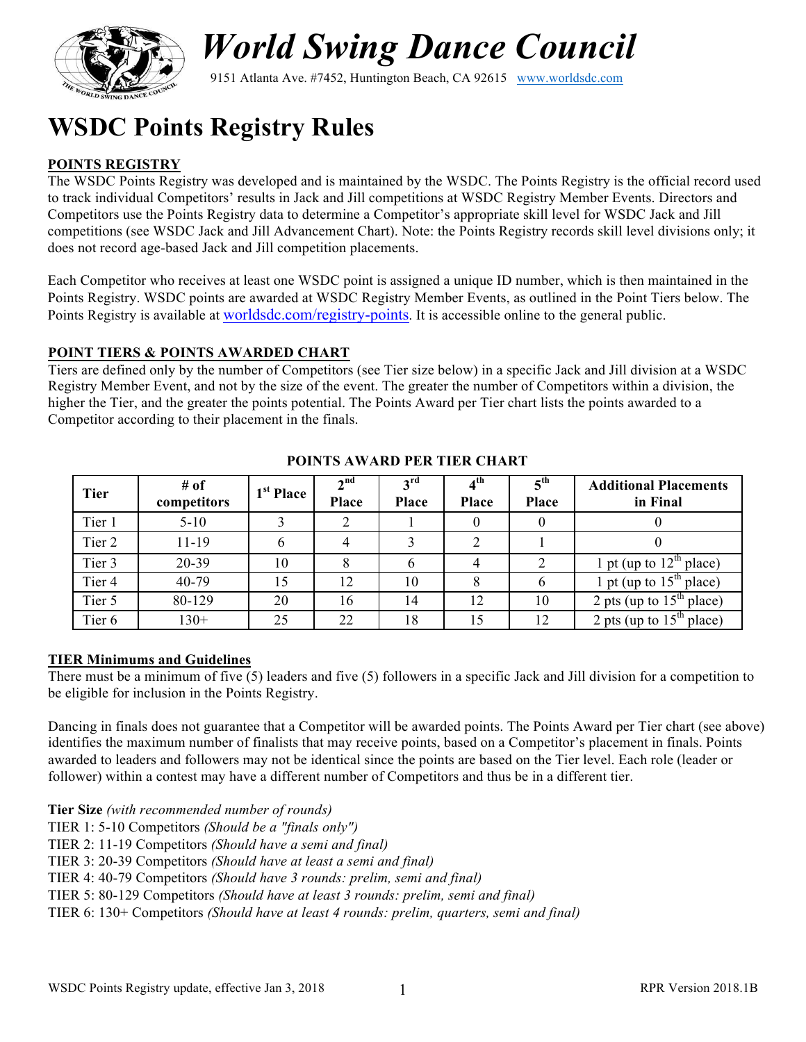

# *World Swing Dance Council*

9151 Atlanta Ave. #7452, Huntington Beach, CA 92615 www.worldsdc.com

## **WSDC Points Registry Rules**

#### **POINTS REGISTRY**

The WSDC Points Registry was developed and is maintained by the WSDC. The Points Registry is the official record used to track individual Competitors' results in Jack and Jill competitions at WSDC Registry Member Events. Directors and Competitors use the Points Registry data to determine a Competitor's appropriate skill level for WSDC Jack and Jill competitions (see WSDC Jack and Jill Advancement Chart). Note: the Points Registry records skill level divisions only; it does not record age-based Jack and Jill competition placements.

Each Competitor who receives at least one WSDC point is assigned a unique ID number, which is then maintained in the Points Registry. WSDC points are awarded at WSDC Registry Member Events, as outlined in the Point Tiers below. The Points Registry is available at worldsdc.com/registry-points. It is accessible online to the general public.

#### **POINT TIERS & POINTS AWARDED CHART**

Tiers are defined only by the number of Competitors (see Tier size below) in a specific Jack and Jill division at a WSDC Registry Member Event, and not by the size of the event. The greater the number of Competitors within a division, the higher the Tier, and the greater the points potential. The Points Award per Tier chart lists the points awarded to a Competitor according to their placement in the finals.

| <b>Tier</b>       | # of<br>competitors | 1 <sup>st</sup> Place | 2 <sup>nd</sup><br>Place | 3 <sup>rd</sup><br><b>Place</b> | $4^{\text{th}}$<br><b>Place</b> | $5^{\text{th}}$<br><b>Place</b> | <b>Additional Placements</b><br>in Final |
|-------------------|---------------------|-----------------------|--------------------------|---------------------------------|---------------------------------|---------------------------------|------------------------------------------|
| Tier 1            | $5 - 10$            |                       | 2                        |                                 |                                 |                                 |                                          |
| Tier 2            | $11 - 19$           | b                     | 4                        | 3                               | ↑                               |                                 |                                          |
| Tier 3            | 20-39               | 10                    | 8                        |                                 |                                 |                                 | 1 pt (up to $12th$ place)                |
| Tier <sub>4</sub> | 40-79               | 15                    | 12                       | 10                              |                                 |                                 | 1 pt (up to $15th$ place)                |
| Tier 5            | 80-129              | 20                    | 16                       | 14                              | 12                              | 10                              | 2 pts (up to $15th$ place)               |
| Tier <sub>6</sub> | $130+$              | 25                    | 22                       | 18                              | .5                              | 12                              | 2 pts (up to $15th$ place)               |

#### **POINTS AWARD PER TIER CHART**

#### **TIER Minimums and Guidelines**

There must be a minimum of five (5) leaders and five (5) followers in a specific Jack and Jill division for a competition to be eligible for inclusion in the Points Registry.

Dancing in finals does not guarantee that a Competitor will be awarded points. The Points Award per Tier chart (see above) identifies the maximum number of finalists that may receive points, based on a Competitor's placement in finals. Points awarded to leaders and followers may not be identical since the points are based on the Tier level. Each role (leader or follower) within a contest may have a different number of Competitors and thus be in a different tier.

**Tier Size** *(with recommended number of rounds)*

TIER 1: 5-10 Competitors *(Should be a "finals only")*

TIER 2: 11-19 Competitors *(Should have a semi and final)*

TIER 3: 20-39 Competitors *(Should have at least a semi and final)*

TIER 4: 40-79 Competitors *(Should have 3 rounds: prelim, semi and final)*

TIER 5: 80-129 Competitors *(Should have at least 3 rounds: prelim, semi and final)*

TIER 6: 130+ Competitors *(Should have at least 4 rounds: prelim, quarters, semi and final)*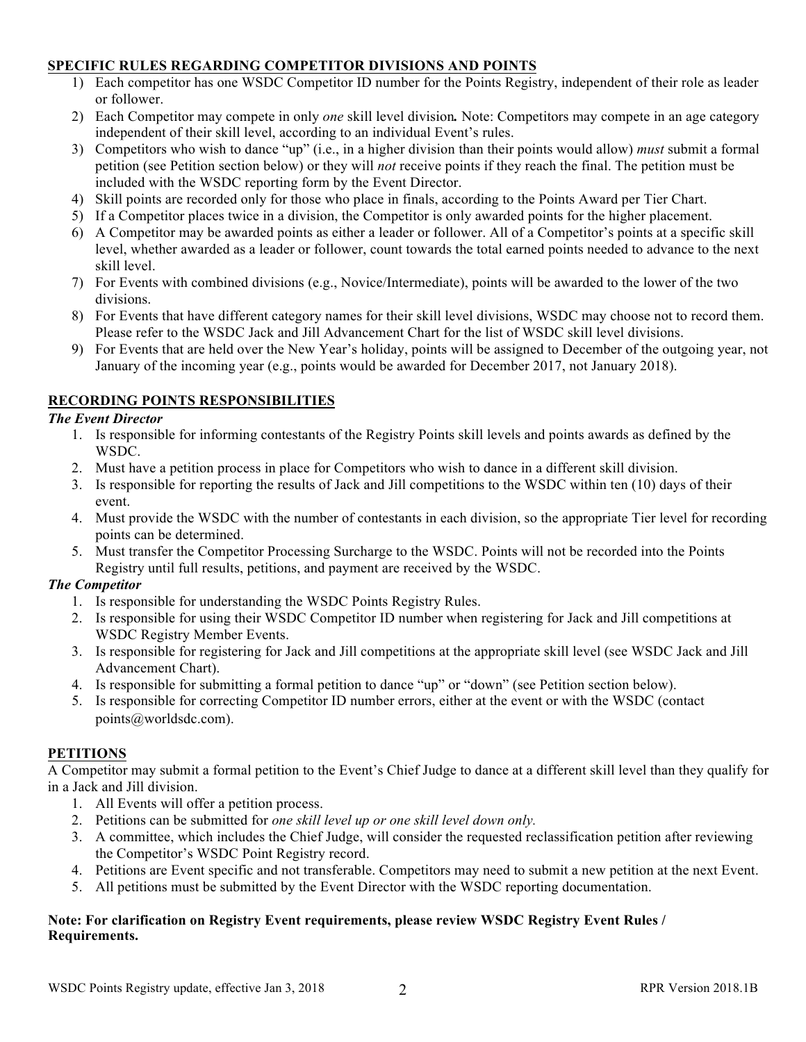#### **SPECIFIC RULES REGARDING COMPETITOR DIVISIONS AND POINTS**

- 1) Each competitor has one WSDC Competitor ID number for the Points Registry, independent of their role as leader or follower.
- 2) Each Competitor may compete in only *one* skill level division*.* Note: Competitors may compete in an age category independent of their skill level, according to an individual Event's rules.
- 3) Competitors who wish to dance "up" (i.e., in a higher division than their points would allow) *must* submit a formal petition (see Petition section below) or they will *not* receive points if they reach the final. The petition must be included with the WSDC reporting form by the Event Director.
- 4) Skill points are recorded only for those who place in finals, according to the Points Award per Tier Chart.
- 5) If a Competitor places twice in a division, the Competitor is only awarded points for the higher placement.
- 6) A Competitor may be awarded points as either a leader or follower. All of a Competitor's points at a specific skill level, whether awarded as a leader or follower, count towards the total earned points needed to advance to the next skill level.
- 7) For Events with combined divisions (e.g., Novice/Intermediate), points will be awarded to the lower of the two divisions.
- 8) For Events that have different category names for their skill level divisions, WSDC may choose not to record them. Please refer to the WSDC Jack and Jill Advancement Chart for the list of WSDC skill level divisions.
- 9) For Events that are held over the New Year's holiday, points will be assigned to December of the outgoing year, not January of the incoming year (e.g., points would be awarded for December 2017, not January 2018).

#### **RECORDING POINTS RESPONSIBILITIES**

#### *The Event Director*

- 1. Is responsible for informing contestants of the Registry Points skill levels and points awards as defined by the WSDC.
- 2. Must have a petition process in place for Competitors who wish to dance in a different skill division.
- 3. Is responsible for reporting the results of Jack and Jill competitions to the WSDC within ten (10) days of their event.
- 4. Must provide the WSDC with the number of contestants in each division, so the appropriate Tier level for recording points can be determined.
- 5. Must transfer the Competitor Processing Surcharge to the WSDC. Points will not be recorded into the Points Registry until full results, petitions, and payment are received by the WSDC.

#### *The Competitor*

- 1. Is responsible for understanding the WSDC Points Registry Rules.
- 2. Is responsible for using their WSDC Competitor ID number when registering for Jack and Jill competitions at WSDC Registry Member Events.
- 3. Is responsible for registering for Jack and Jill competitions at the appropriate skill level (see WSDC Jack and Jill Advancement Chart).
- 4. Is responsible for submitting a formal petition to dance "up" or "down" (see Petition section below).
- 5. Is responsible for correcting Competitor ID number errors, either at the event or with the WSDC (contact points@worldsdc.com).

#### **PETITIONS**

A Competitor may submit a formal petition to the Event's Chief Judge to dance at a different skill level than they qualify for in a Jack and Jill division.

- 1. All Events will offer a petition process.
- 2. Petitions can be submitted for *one skill level up or one skill level down only.*
- 3. A committee, which includes the Chief Judge, will consider the requested reclassification petition after reviewing the Competitor's WSDC Point Registry record.
- 4. Petitions are Event specific and not transferable. Competitors may need to submit a new petition at the next Event.
- 5. All petitions must be submitted by the Event Director with the WSDC reporting documentation.

#### **Note: For clarification on Registry Event requirements, please review WSDC Registry Event Rules / Requirements.**